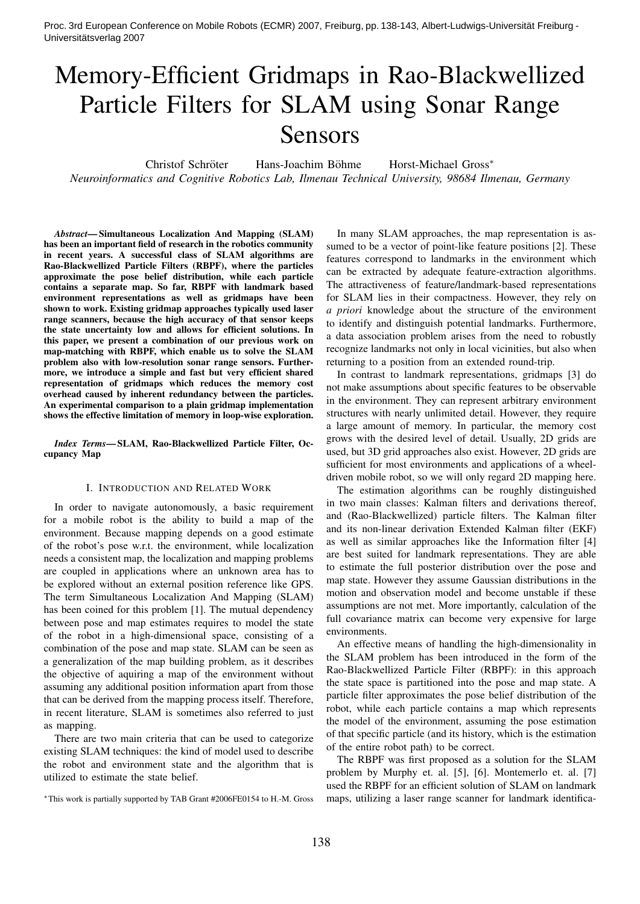Proc. 3rd European Conference on Mobile Robots (ECMR) 2007, Freiburg, pp. 138-143, Albert-Ludwigs-Universität Freiburg - Universitätsverlag 2007

# Memory-Efficient Gridmaps in Rao-Blackwellized Particle Filters for SLAM using Sonar Range Sensors

Christof Schröter Hans-Joachim Böhme Horst-Michael Gross\*

*Neuroinformatics and Cognitive Robotics Lab, Ilmenau Technical University, 98684 Ilmenau, Germany*

*Abstract*— Simultaneous Localization And Mapping (SLAM) has been an important field of research in the robotics community in recent years. A successful class of SLAM algorithms are Rao-Blackwellized Particle Filters (RBPF), where the particles approximate the pose belief distribution, while each particle contains a separate map. So far, RBPF with landmark based environment representations as well as gridmaps have been shown to work. Existing gridmap approaches typically used laser range scanners, because the high accuracy of that sensor keeps the state uncertainty low and allows for efficient solutions. In this paper, we present a combination of our previous work on map-matching with RBPF, which enable us to solve the SLAM problem also with low-resolution sonar range sensors. Furthermore, we introduce a simple and fast but very efficient shared representation of gridmaps which reduces the memory cost overhead caused by inherent redundancy between the particles. An experimental comparison to a plain gridmap implementation shows the effective limitation of memory in loop-wise exploration.

*Index Terms*— SLAM, Rao-Blackwellized Particle Filter, Occupancy Map

#### I. INTRODUCTION AND RELATED WORK

In order to navigate autonomously, a basic requirement for a mobile robot is the ability to build a map of the environment. Because mapping depends on a good estimate of the robot's pose w.r.t. the environment, while localization needs a consistent map, the localization and mapping problems are coupled in applications where an unknown area has to be explored without an external position reference like GPS. The term Simultaneous Localization And Mapping (SLAM) has been coined for this problem [1]. The mutual dependency between pose and map estimates requires to model the state of the robot in a high-dimensional space, consisting of a combination of the pose and map state. SLAM can be seen as a generalization of the map building problem, as it describes the objective of aquiring a map of the environment without assuming any additional position information apart from those that can be derived from the mapping process itself. Therefore, in recent literature, SLAM is sometimes also referred to just as mapping.

There are two main criteria that can be used to categorize existing SLAM techniques: the kind of model used to describe the robot and environment state and the algorithm that is utilized to estimate the state belief.

<sup>∗</sup>This work is partially supported by TAB Grant #2006FE0154 to H.-M. Gross

In many SLAM approaches, the map representation is assumed to be a vector of point-like feature positions [2]. These features correspond to landmarks in the environment which can be extracted by adequate feature-extraction algorithms. The attractiveness of feature/landmark-based representations for SLAM lies in their compactness. However, they rely on *a priori* knowledge about the structure of the environment to identify and distinguish potential landmarks. Furthermore, a data association problem arises from the need to robustly recognize landmarks not only in local vicinities, but also when returning to a position from an extended round-trip.

In contrast to landmark representations, gridmaps [3] do not make assumptions about specific features to be observable in the environment. They can represent arbitrary environment structures with nearly unlimited detail. However, they require a large amount of memory. In particular, the memory cost grows with the desired level of detail. Usually, 2D grids are used, but 3D grid approaches also exist. However, 2D grids are sufficient for most environments and applications of a wheeldriven mobile robot, so we will only regard 2D mapping here.

The estimation algorithms can be roughly distinguished in two main classes: Kalman filters and derivations thereof, and (Rao-Blackwellized) particle filters. The Kalman filter and its non-linear derivation Extended Kalman filter (EKF) as well as similar approaches like the Information filter [4] are best suited for landmark representations. They are able to estimate the full posterior distribution over the pose and map state. However they assume Gaussian distributions in the motion and observation model and become unstable if these assumptions are not met. More importantly, calculation of the full covariance matrix can become very expensive for large environments.

An effective means of handling the high-dimensionality in the SLAM problem has been introduced in the form of the Rao-Blackwellized Particle Filter (RBPF): in this approach the state space is partitioned into the pose and map state. A particle filter approximates the pose belief distribution of the robot, while each particle contains a map which represents the model of the environment, assuming the pose estimation of that specific particle (and its history, which is the estimation of the entire robot path) to be correct.

The RBPF was first proposed as a solution for the SLAM problem by Murphy et. al. [5], [6]. Montemerlo et. al. [7] used the RBPF for an efficient solution of SLAM on landmark maps, utilizing a laser range scanner for landmark identifica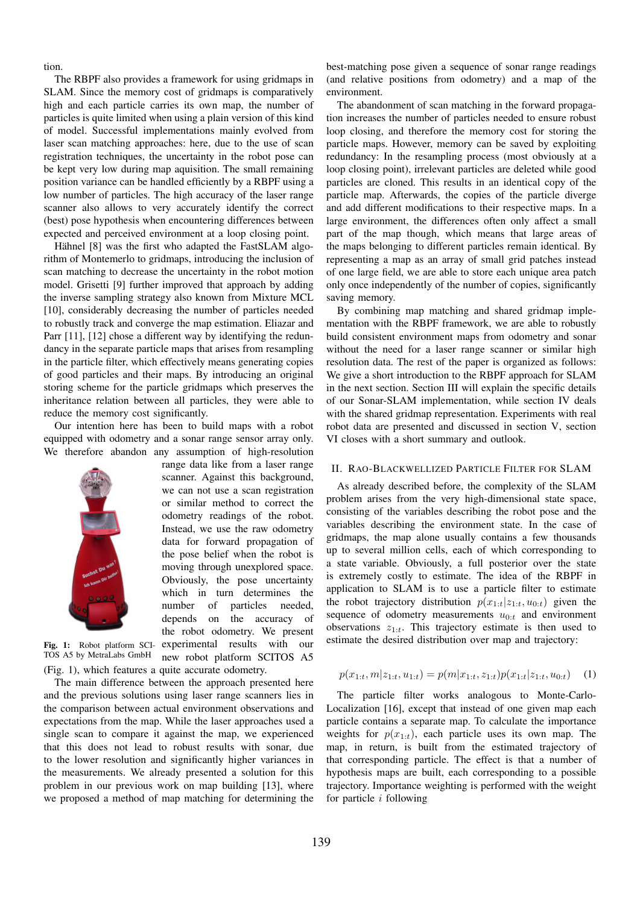tion.

The RBPF also provides a framework for using gridmaps in SLAM. Since the memory cost of gridmaps is comparatively high and each particle carries its own map, the number of particles is quite limited when using a plain version of this kind of model. Successful implementations mainly evolved from laser scan matching approaches: here, due to the use of scan registration techniques, the uncertainty in the robot pose can be kept very low during map aquisition. The small remaining position variance can be handled efficiently by a RBPF using a low number of particles. The high accuracy of the laser range scanner also allows to very accurately identify the correct (best) pose hypothesis when encountering differences between expected and perceived environment at a loop closing point.

Hähnel [8] was the first who adapted the FastSLAM algorithm of Montemerlo to gridmaps, introducing the inclusion of scan matching to decrease the uncertainty in the robot motion model. Grisetti [9] further improved that approach by adding the inverse sampling strategy also known from Mixture MCL [10], considerably decreasing the number of particles needed to robustly track and converge the map estimation. Eliazar and Parr [11], [12] chose a different way by identifying the redundancy in the separate particle maps that arises from resampling in the particle filter, which effectively means generating copies of good particles and their maps. By introducing an original storing scheme for the particle gridmaps which preserves the inheritance relation between all particles, they were able to reduce the memory cost significantly.

Our intention here has been to build maps with a robot equipped with odometry and a sonar range sensor array only. We therefore abandon any assumption of high-resolution



range data like from a laser range scanner. Against this background, we can not use a scan registration or similar method to correct the odometry readings of the robot. Instead, we use the raw odometry data for forward propagation of the pose belief when the robot is moving through unexplored space. Obviously, the pose uncertainty which in turn determines the number of particles needed, depends on the accuracy of the robot odometry. We present experimental results with our new robot platform SCITOS A5

Fig. 1: Robot platform SCI-TOS A5 by MetraLabs GmbH (Fig. 1), which features a quite accurate odometry.

The main difference between the approach presented here and the previous solutions using laser range scanners lies in the comparison between actual environment observations and expectations from the map. While the laser approaches used a single scan to compare it against the map, we experienced that this does not lead to robust results with sonar, due to the lower resolution and significantly higher variances in the measurements. We already presented a solution for this problem in our previous work on map building [13], where we proposed a method of map matching for determining the

best-matching pose given a sequence of sonar range readings (and relative positions from odometry) and a map of the environment.

The abandonment of scan matching in the forward propagation increases the number of particles needed to ensure robust loop closing, and therefore the memory cost for storing the particle maps. However, memory can be saved by exploiting redundancy: In the resampling process (most obviously at a loop closing point), irrelevant particles are deleted while good particles are cloned. This results in an identical copy of the particle map. Afterwards, the copies of the particle diverge and add different modifications to their respective maps. In a large environment, the differences often only affect a small part of the map though, which means that large areas of the maps belonging to different particles remain identical. By representing a map as an array of small grid patches instead of one large field, we are able to store each unique area patch only once independently of the number of copies, significantly saving memory.

By combining map matching and shared gridmap implementation with the RBPF framework, we are able to robustly build consistent environment maps from odometry and sonar without the need for a laser range scanner or similar high resolution data. The rest of the paper is organized as follows: We give a short introduction to the RBPF approach for SLAM in the next section. Section III will explain the specific details of our Sonar-SLAM implementation, while section IV deals with the shared gridmap representation. Experiments with real robot data are presented and discussed in section V, section VI closes with a short summary and outlook.

# II. RAO-BLACKWELLIZED PARTICLE FILTER FOR SLAM

As already described before, the complexity of the SLAM problem arises from the very high-dimensional state space, consisting of the variables describing the robot pose and the variables describing the environment state. In the case of gridmaps, the map alone usually contains a few thousands up to several million cells, each of which corresponding to a state variable. Obviously, a full posterior over the state is extremely costly to estimate. The idea of the RBPF in application to SLAM is to use a particle filter to estimate the robot trajectory distribution  $p(x_{1:t}|z_{1:t}, u_{0:t})$  given the sequence of odometry measurements  $u_{0:t}$  and environment observations  $z_{1:t}$ . This trajectory estimate is then used to estimate the desired distribution over map and trajectory:

$$
p(x_{1:t}, m|z_{1:t}, u_{1:t}) = p(m|x_{1:t}, z_{1:t})p(x_{1:t}|z_{1:t}, u_{0:t}) \quad (1)
$$

The particle filter works analogous to Monte-Carlo-Localization [16], except that instead of one given map each particle contains a separate map. To calculate the importance weights for  $p(x_{1:t})$ , each particle uses its own map. The map, in return, is built from the estimated trajectory of that corresponding particle. The effect is that a number of hypothesis maps are built, each corresponding to a possible trajectory. Importance weighting is performed with the weight for particle  $i$  following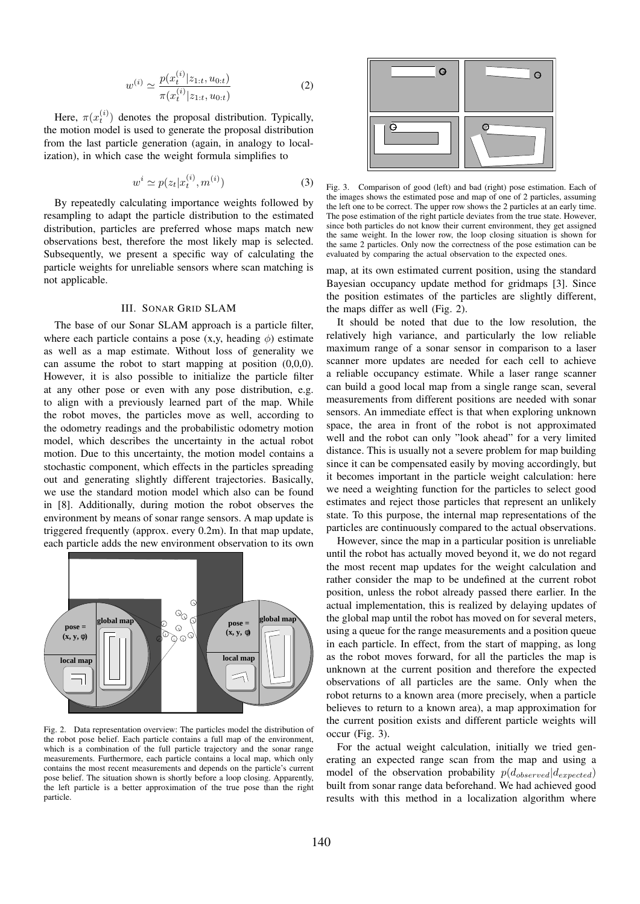$$
w^{(i)} \simeq \frac{p(x_t^{(i)}|z_{1:t}, u_{0:t})}{\pi(x_t^{(i)}|z_{1:t}, u_{0:t})}
$$
 (2)

Here,  $\pi(x_t^{(i)})$  denotes the proposal distribution. Typically, the motion model is used to generate the proposal distribution from the last particle generation (again, in analogy to localization), in which case the weight formula simplifies to

$$
w^i \simeq p(z_t|x_t^{(i)}, m^{(i)}) \tag{3}
$$

By repeatedly calculating importance weights followed by resampling to adapt the particle distribution to the estimated distribution, particles are preferred whose maps match new observations best, therefore the most likely map is selected. Subsequently, we present a specific way of calculating the particle weights for unreliable sensors where scan matching is not applicable.

#### III. SONAR GRID SLAM

The base of our Sonar SLAM approach is a particle filter, where each particle contains a pose  $(x, y,$  heading  $\phi$ ) estimate as well as a map estimate. Without loss of generality we can assume the robot to start mapping at position (0,0,0). However, it is also possible to initialize the particle filter at any other pose or even with any pose distribution, e.g. to align with a previously learned part of the map. While the robot moves, the particles move as well, according to the odometry readings and the probabilistic odometry motion model, which describes the uncertainty in the actual robot motion. Due to this uncertainty, the motion model contains a stochastic component, which effects in the particles spreading out and generating slightly different trajectories. Basically, we use the standard motion model which also can be found in [8]. Additionally, during motion the robot observes the environment by means of sonar range sensors. A map update is triggered frequently (approx. every 0.2m). In that map update, each particle adds the new environment observation to its own



Fig. 2. Data representation overview: The particles model the distribution of the robot pose belief. Each particle contains a full map of the environment, which is a combination of the full particle trajectory and the sonar range measurements. Furthermore, each particle contains a local map, which only contains the most recent measurements and depends on the particle's current pose belief. The situation shown is shortly before a loop closing. Apparently, the left particle is a better approximation of the true pose than the right particle.



Fig. 3. Comparison of good (left) and bad (right) pose estimation. Each of the images shows the estimated pose and map of one of 2 particles, assuming the left one to be correct. The upper row shows the 2 particles at an early time. The pose estimation of the right particle deviates from the true state. However, since both particles do not know their current environment, they get assigned the same weight. In the lower row, the loop closing situation is shown for the same 2 particles. Only now the correctness of the pose estimation can be evaluated by comparing the actual observation to the expected ones.

map, at its own estimated current position, using the standard Bayesian occupancy update method for gridmaps [3]. Since the position estimates of the particles are slightly different, the maps differ as well (Fig. 2).

It should be noted that due to the low resolution, the relatively high variance, and particularly the low reliable maximum range of a sonar sensor in comparison to a laser scanner more updates are needed for each cell to achieve a reliable occupancy estimate. While a laser range scanner can build a good local map from a single range scan, several measurements from different positions are needed with sonar sensors. An immediate effect is that when exploring unknown space, the area in front of the robot is not approximated well and the robot can only "look ahead" for a very limited distance. This is usually not a severe problem for map building since it can be compensated easily by moving accordingly, but it becomes important in the particle weight calculation: here we need a weighting function for the particles to select good estimates and reject those particles that represent an unlikely state. To this purpose, the internal map representations of the particles are continuously compared to the actual observations.

However, since the map in a particular position is unreliable until the robot has actually moved beyond it, we do not regard the most recent map updates for the weight calculation and rather consider the map to be undefined at the current robot position, unless the robot already passed there earlier. In the actual implementation, this is realized by delaying updates of the global map until the robot has moved on for several meters, using a queue for the range measurements and a position queue in each particle. In effect, from the start of mapping, as long as the robot moves forward, for all the particles the map is unknown at the current position and therefore the expected observations of all particles are the same. Only when the robot returns to a known area (more precisely, when a particle believes to return to a known area), a map approximation for the current position exists and different particle weights will occur (Fig. 3).

For the actual weight calculation, initially we tried generating an expected range scan from the map and using a model of the observation probability  $p(d_{observed}|d_{expected})$ built from sonar range data beforehand. We had achieved good results with this method in a localization algorithm where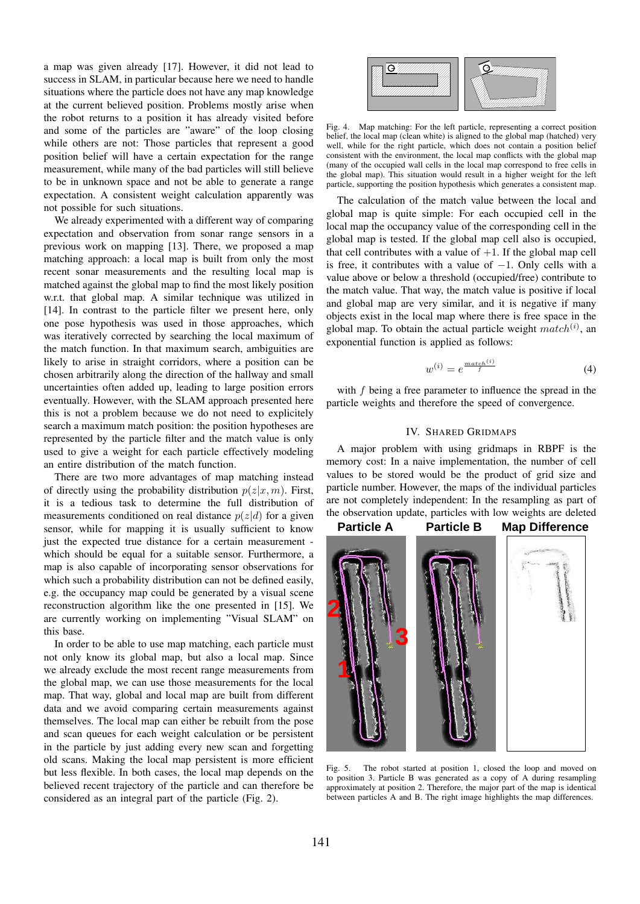a map was given already [17]. However, it did not lead to success in SLAM, in particular because here we need to handle situations where the particle does not have any map knowledge at the current believed position. Problems mostly arise when the robot returns to a position it has already visited before and some of the particles are "aware" of the loop closing while others are not: Those particles that represent a good position belief will have a certain expectation for the range measurement, while many of the bad particles will still believe to be in unknown space and not be able to generate a range expectation. A consistent weight calculation apparently was not possible for such situations.

We already experimented with a different way of comparing expectation and observation from sonar range sensors in a previous work on mapping [13]. There, we proposed a map matching approach: a local map is built from only the most recent sonar measurements and the resulting local map is matched against the global map to find the most likely position w.r.t. that global map. A similar technique was utilized in [14]. In contrast to the particle filter we present here, only one pose hypothesis was used in those approaches, which was iteratively corrected by searching the local maximum of the match function. In that maximum search, ambiguities are likely to arise in straight corridors, where a position can be chosen arbitrarily along the direction of the hallway and small uncertainties often added up, leading to large position errors eventually. However, with the SLAM approach presented here this is not a problem because we do not need to explicitely search a maximum match position: the position hypotheses are represented by the particle filter and the match value is only used to give a weight for each particle effectively modeling an entire distribution of the match function.

There are two more advantages of map matching instead of directly using the probability distribution  $p(z|x, m)$ . First, it is a tedious task to determine the full distribution of measurements conditioned on real distance  $p(z|d)$  for a given sensor, while for mapping it is usually sufficient to know just the expected true distance for a certain measurement which should be equal for a suitable sensor. Furthermore, a map is also capable of incorporating sensor observations for which such a probability distribution can not be defined easily, e.g. the occupancy map could be generated by a visual scene reconstruction algorithm like the one presented in [15]. We are currently working on implementing "Visual SLAM" on this base.

In order to be able to use map matching, each particle must not only know its global map, but also a local map. Since we already exclude the most recent range measurements from the global map, we can use those measurements for the local map. That way, global and local map are built from different data and we avoid comparing certain measurements against themselves. The local map can either be rebuilt from the pose and scan queues for each weight calculation or be persistent in the particle by just adding every new scan and forgetting old scans. Making the local map persistent is more efficient but less flexible. In both cases, the local map depends on the believed recent trajectory of the particle and can therefore be considered as an integral part of the particle (Fig. 2).



Fig. 4. Map matching: For the left particle, representing a correct position belief, the local map (clean white) is aligned to the global map (hatched) very well, while for the right particle, which does not contain a position belief consistent with the environment, the local map conflicts with the global map (many of the occupied wall cells in the local map correspond to free cells in the global map). This situation would result in a higher weight for the left particle, supporting the position hypothesis which generates a consistent map.

The calculation of the match value between the local and global map is quite simple: For each occupied cell in the local map the occupancy value of the corresponding cell in the global map is tested. If the global map cell also is occupied, that cell contributes with a value of  $+1$ . If the global map cell is free, it contributes with a value of  $-1$ . Only cells with a value above or below a threshold (occupied/free) contribute to the match value. That way, the match value is positive if local and global map are very similar, and it is negative if many objects exist in the local map where there is free space in the global map. To obtain the actual particle weight  $match<sup>(i)</sup>$ , an exponential function is applied as follows:

$$
w^{(i)} = e^{\frac{match^{(i)}}{f}} \tag{4}
$$

with  $f$  being a free parameter to influence the spread in the particle weights and therefore the speed of convergence.

## IV. SHARED GRIDMAPS

A major problem with using gridmaps in RBPF is the memory cost: In a naive implementation, the number of cell values to be stored would be the product of grid size and particle number. However, the maps of the individual particles are not completely independent: In the resampling as part of the observation update, particles with low weights are deleted



Fig. 5. The robot started at position 1, closed the loop and moved on to position 3. Particle B was generated as a copy of A during resampling approximately at position 2. Therefore, the major part of the map is identical between particles A and B. The right image highlights the map differences.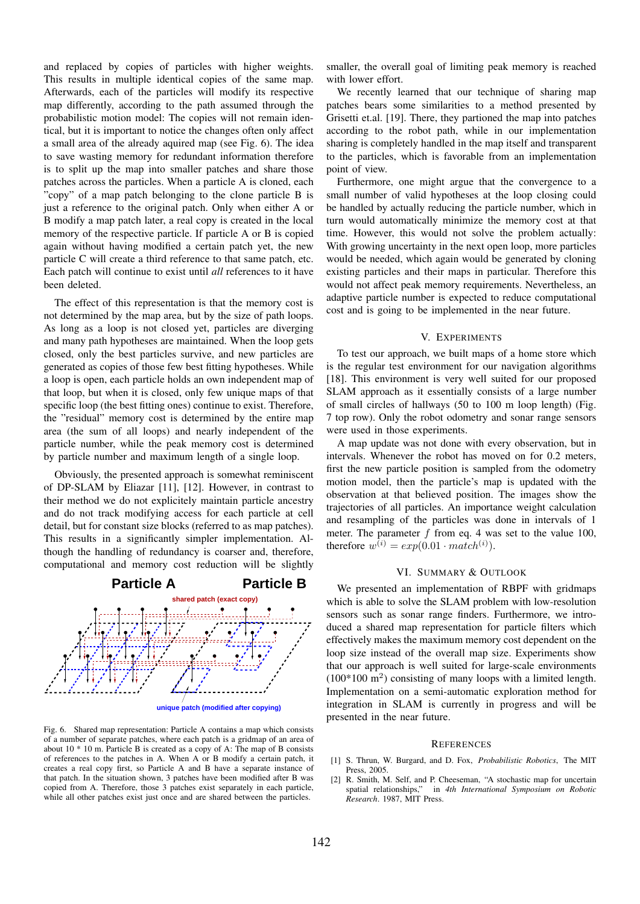and replaced by copies of particles with higher weights. This results in multiple identical copies of the same map. Afterwards, each of the particles will modify its respective map differently, according to the path assumed through the probabilistic motion model: The copies will not remain identical, but it is important to notice the changes often only affect a small area of the already aquired map (see Fig. 6). The idea to save wasting memory for redundant information therefore is to split up the map into smaller patches and share those patches across the particles. When a particle A is cloned, each "copy" of a map patch belonging to the clone particle B is just a reference to the original patch. Only when either A or B modify a map patch later, a real copy is created in the local memory of the respective particle. If particle A or B is copied again without having modified a certain patch yet, the new particle C will create a third reference to that same patch, etc. Each patch will continue to exist until *all* references to it have been deleted.

The effect of this representation is that the memory cost is not determined by the map area, but by the size of path loops. As long as a loop is not closed yet, particles are diverging and many path hypotheses are maintained. When the loop gets closed, only the best particles survive, and new particles are generated as copies of those few best fitting hypotheses. While a loop is open, each particle holds an own independent map of that loop, but when it is closed, only few unique maps of that specific loop (the best fitting ones) continue to exist. Therefore, the "residual" memory cost is determined by the entire map area (the sum of all loops) and nearly independent of the particle number, while the peak memory cost is determined by particle number and maximum length of a single loop.

Obviously, the presented approach is somewhat reminiscent of DP-SLAM by Eliazar [11], [12]. However, in contrast to their method we do not explicitely maintain particle ancestry and do not track modifying access for each particle at cell detail, but for constant size blocks (referred to as map patches). This results in a significantly simpler implementation. Although the handling of redundancy is coarser and, therefore, computational and memory cost reduction will be slightly



Fig. 6. Shared map representation: Particle A contains a map which consists of a number of separate patches, where each patch is a gridmap of an area of about  $10 * 10$  m. Particle B is created as a copy of A: The map of B consists of references to the patches in A. When A or B modify a certain patch, it creates a real copy first, so Particle A and B have a separate instance of that patch. In the situation shown, 3 patches have been modified after B was copied from A. Therefore, those 3 patches exist separately in each particle, while all other patches exist just once and are shared between the particles.

smaller, the overall goal of limiting peak memory is reached with lower effort.

We recently learned that our technique of sharing map patches bears some similarities to a method presented by Grisetti et.al. [19]. There, they partioned the map into patches according to the robot path, while in our implementation sharing is completely handled in the map itself and transparent to the particles, which is favorable from an implementation point of view.

Furthermore, one might argue that the convergence to a small number of valid hypotheses at the loop closing could be handled by actually reducing the particle number, which in turn would automatically minimize the memory cost at that time. However, this would not solve the problem actually: With growing uncertainty in the next open loop, more particles would be needed, which again would be generated by cloning existing particles and their maps in particular. Therefore this would not affect peak memory requirements. Nevertheless, an adaptive particle number is expected to reduce computational cost and is going to be implemented in the near future.

### V. EXPERIMENTS

To test our approach, we built maps of a home store which is the regular test environment for our navigation algorithms [18]. This environment is very well suited for our proposed SLAM approach as it essentially consists of a large number of small circles of hallways (50 to 100 m loop length) (Fig. 7 top row). Only the robot odometry and sonar range sensors were used in those experiments.

A map update was not done with every observation, but in intervals. Whenever the robot has moved on for 0.2 meters, first the new particle position is sampled from the odometry motion model, then the particle's map is updated with the observation at that believed position. The images show the trajectories of all particles. An importance weight calculation and resampling of the particles was done in intervals of 1 meter. The parameter  $f$  from eq. 4 was set to the value 100, therefore  $w^{(i)} = exp(0.01 \cdot match^{(i)})$ .

## VI. SUMMARY & OUTLOOK

We presented an implementation of RBPF with gridmaps which is able to solve the SLAM problem with low-resolution sensors such as sonar range finders. Furthermore, we introduced a shared map representation for particle filters which effectively makes the maximum memory cost dependent on the loop size instead of the overall map size. Experiments show that our approach is well suited for large-scale environments  $(100*100 \text{ m}^2)$  consisting of many loops with a limited length. Implementation on a semi-automatic exploration method for integration in SLAM is currently in progress and will be presented in the near future.

#### **REFERENCES**

- [1] S. Thrun, W. Burgard, and D. Fox, *Probabilistic Robotics*, The MIT Press, 2005.
- [2] R. Smith, M. Self, and P. Cheeseman, "A stochastic map for uncertain spatial relationships," in *4th International Symposium on Robotic Research*. 1987, MIT Press.